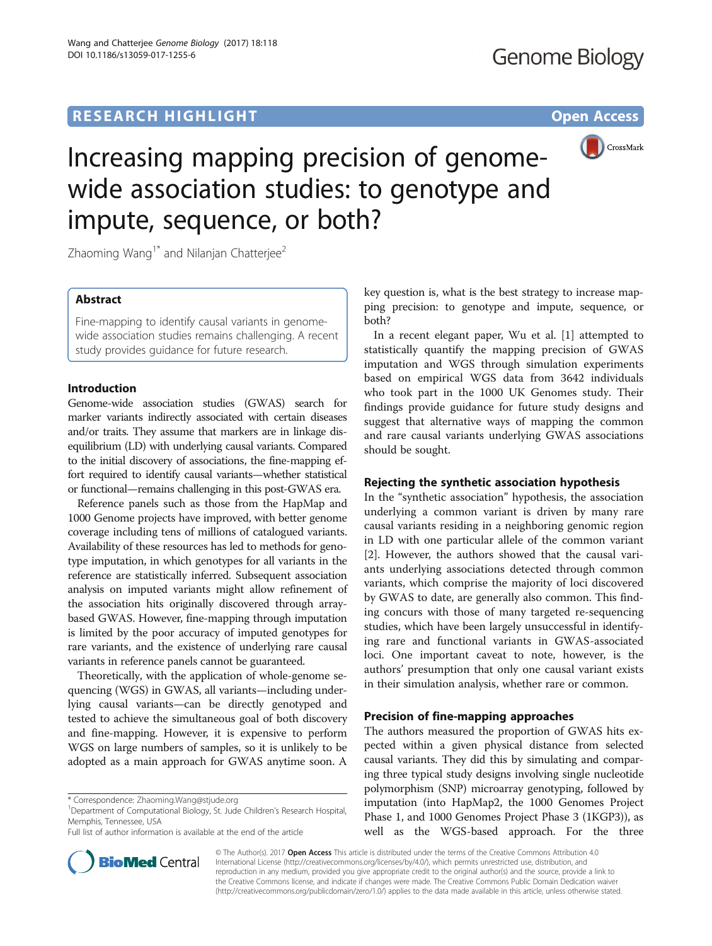## **RESEARCH HIGHLIGHT CONSUMING THE OPEN ACCESS**



# Increasing mapping precision of genomewide association studies: to genotype and impute, sequence, or both?

Zhaoming Wang<sup>1\*</sup> and Nilanjan Chatterjee<sup>2</sup>

## Abstract

Fine-mapping to identify causal variants in genomewide association studies remains challenging. A recent study provides guidance for future research.

## Introduction

Genome-wide association studies (GWAS) search for marker variants indirectly associated with certain diseases and/or traits. They assume that markers are in linkage disequilibrium (LD) with underlying causal variants. Compared to the initial discovery of associations, the fine-mapping effort required to identify causal variants—whether statistical or functional—remains challenging in this post-GWAS era.

Reference panels such as those from the HapMap and 1000 Genome projects have improved, with better genome coverage including tens of millions of catalogued variants. Availability of these resources has led to methods for genotype imputation, in which genotypes for all variants in the reference are statistically inferred. Subsequent association analysis on imputed variants might allow refinement of the association hits originally discovered through arraybased GWAS. However, fine-mapping through imputation is limited by the poor accuracy of imputed genotypes for rare variants, and the existence of underlying rare causal variants in reference panels cannot be guaranteed.

Theoretically, with the application of whole-genome sequencing (WGS) in GWAS, all variants—including underlying causal variants—can be directly genotyped and tested to achieve the simultaneous goal of both discovery and fine-mapping. However, it is expensive to perform WGS on large numbers of samples, so it is unlikely to be adopted as a main approach for GWAS anytime soon. A



In a recent elegant paper, Wu et al. [[1\]](#page-2-0) attempted to statistically quantify the mapping precision of GWAS imputation and WGS through simulation experiments based on empirical WGS data from 3642 individuals who took part in the 1000 UK Genomes study. Their findings provide guidance for future study designs and suggest that alternative ways of mapping the common and rare causal variants underlying GWAS associations should be sought.

## Rejecting the synthetic association hypothesis

In the "synthetic association" hypothesis, the association underlying a common variant is driven by many rare causal variants residing in a neighboring genomic region in LD with one particular allele of the common variant [[2\]](#page-2-0). However, the authors showed that the causal variants underlying associations detected through common variants, which comprise the majority of loci discovered by GWAS to date, are generally also common. This finding concurs with those of many targeted re-sequencing studies, which have been largely unsuccessful in identifying rare and functional variants in GWAS-associated loci. One important caveat to note, however, is the authors' presumption that only one causal variant exists in their simulation analysis, whether rare or common.

## Precision of fine-mapping approaches

The authors measured the proportion of GWAS hits expected within a given physical distance from selected causal variants. They did this by simulating and comparing three typical study designs involving single nucleotide polymorphism (SNP) microarray genotyping, followed by imputation (into HapMap2, the 1000 Genomes Project Phase 1, and 1000 Genomes Project Phase 3 (1KGP3)), as well as the WGS-based approach. For the three



© The Author(s). 2017 Open Access This article is distributed under the terms of the Creative Commons Attribution 4.0 International License [\(http://creativecommons.org/licenses/by/4.0/](http://creativecommons.org/licenses/by/4.0/)), which permits unrestricted use, distribution, and reproduction in any medium, provided you give appropriate credit to the original author(s) and the source, provide a link to the Creative Commons license, and indicate if changes were made. The Creative Commons Public Domain Dedication waiver [\(http://creativecommons.org/publicdomain/zero/1.0/](http://creativecommons.org/publicdomain/zero/1.0/)) applies to the data made available in this article, unless otherwise stated.

<sup>\*</sup> Correspondence: [Zhaoming.Wang@stjude.org](mailto:Zhaoming.Wang@stjude.org) <sup>1</sup>

<sup>&</sup>lt;sup>1</sup>Department of Computational Biology, St. Jude Children's Research Hospital, Memphis, Tennessee, USA

Full list of author information is available at the end of the article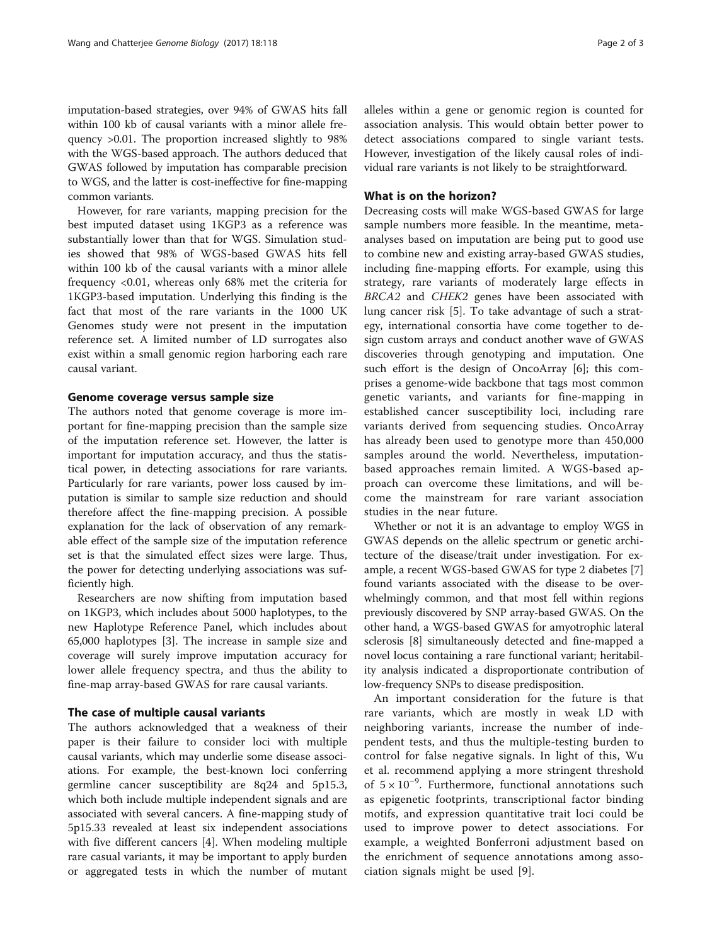imputation-based strategies, over 94% of GWAS hits fall within 100 kb of causal variants with a minor allele frequency >0.01. The proportion increased slightly to 98% with the WGS-based approach. The authors deduced that GWAS followed by imputation has comparable precision to WGS, and the latter is cost-ineffective for fine-mapping common variants.

However, for rare variants, mapping precision for the best imputed dataset using 1KGP3 as a reference was substantially lower than that for WGS. Simulation studies showed that 98% of WGS-based GWAS hits fell within 100 kb of the causal variants with a minor allele frequency <0.01, whereas only 68% met the criteria for 1KGP3-based imputation. Underlying this finding is the fact that most of the rare variants in the 1000 UK Genomes study were not present in the imputation reference set. A limited number of LD surrogates also exist within a small genomic region harboring each rare causal variant.

## Genome coverage versus sample size

The authors noted that genome coverage is more important for fine-mapping precision than the sample size of the imputation reference set. However, the latter is important for imputation accuracy, and thus the statistical power, in detecting associations for rare variants. Particularly for rare variants, power loss caused by imputation is similar to sample size reduction and should therefore affect the fine-mapping precision. A possible explanation for the lack of observation of any remarkable effect of the sample size of the imputation reference set is that the simulated effect sizes were large. Thus, the power for detecting underlying associations was sufficiently high.

Researchers are now shifting from imputation based on 1KGP3, which includes about 5000 haplotypes, to the new Haplotype Reference Panel, which includes about 65,000 haplotypes [[3\]](#page-2-0). The increase in sample size and coverage will surely improve imputation accuracy for lower allele frequency spectra, and thus the ability to fine-map array-based GWAS for rare causal variants.

## The case of multiple causal variants

The authors acknowledged that a weakness of their paper is their failure to consider loci with multiple causal variants, which may underlie some disease associations. For example, the best-known loci conferring germline cancer susceptibility are 8q24 and 5p15.3, which both include multiple independent signals and are associated with several cancers. A fine-mapping study of 5p15.33 revealed at least six independent associations with five different cancers [[4\]](#page-2-0). When modeling multiple rare casual variants, it may be important to apply burden or aggregated tests in which the number of mutant alleles within a gene or genomic region is counted for association analysis. This would obtain better power to detect associations compared to single variant tests. However, investigation of the likely causal roles of individual rare variants is not likely to be straightforward.

## What is on the horizon?

Decreasing costs will make WGS-based GWAS for large sample numbers more feasible. In the meantime, metaanalyses based on imputation are being put to good use to combine new and existing array-based GWAS studies, including fine-mapping efforts. For example, using this strategy, rare variants of moderately large effects in BRCA2 and CHEK2 genes have been associated with lung cancer risk [\[5](#page-2-0)]. To take advantage of such a strategy, international consortia have come together to design custom arrays and conduct another wave of GWAS discoveries through genotyping and imputation. One such effort is the design of OncoArray [\[6](#page-2-0)]; this comprises a genome-wide backbone that tags most common genetic variants, and variants for fine-mapping in established cancer susceptibility loci, including rare variants derived from sequencing studies. OncoArray has already been used to genotype more than 450,000 samples around the world. Nevertheless, imputationbased approaches remain limited. A WGS-based approach can overcome these limitations, and will become the mainstream for rare variant association studies in the near future.

Whether or not it is an advantage to employ WGS in GWAS depends on the allelic spectrum or genetic architecture of the disease/trait under investigation. For example, a recent WGS-based GWAS for type 2 diabetes [[7](#page-2-0)] found variants associated with the disease to be overwhelmingly common, and that most fell within regions previously discovered by SNP array-based GWAS. On the other hand, a WGS-based GWAS for amyotrophic lateral sclerosis [\[8](#page-2-0)] simultaneously detected and fine-mapped a novel locus containing a rare functional variant; heritability analysis indicated a disproportionate contribution of low-frequency SNPs to disease predisposition.

An important consideration for the future is that rare variants, which are mostly in weak LD with neighboring variants, increase the number of independent tests, and thus the multiple-testing burden to control for false negative signals. In light of this, Wu et al. recommend applying a more stringent threshold of 5 × 10−<sup>9</sup> . Furthermore, functional annotations such as epigenetic footprints, transcriptional factor binding motifs, and expression quantitative trait loci could be used to improve power to detect associations. For example, a weighted Bonferroni adjustment based on the enrichment of sequence annotations among association signals might be used [[9\]](#page-2-0).